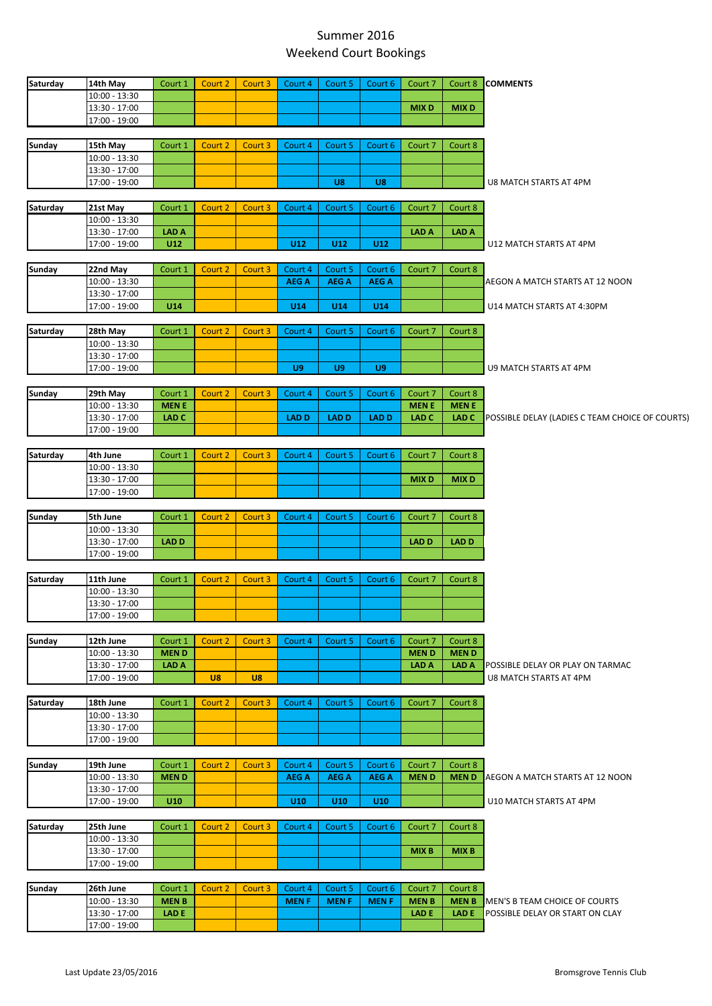## Summer 2016 Weekend Court Bookings

| Saturday      | 14th May                         | Court 1          | Court 2 | Court 3        | Court 4                 | Court 5                | Court 6                 | Court 7      | Court 8          | <b>COMMENTS</b>                                            |
|---------------|----------------------------------|------------------|---------|----------------|-------------------------|------------------------|-------------------------|--------------|------------------|------------------------------------------------------------|
|               | 10:00 - 13:30                    |                  |         |                |                         |                        |                         |              |                  |                                                            |
|               | 13:30 - 17:00                    |                  |         |                |                         |                        |                         | <b>MIXD</b>  | <b>MIXD</b>      |                                                            |
|               | 17:00 - 19:00                    |                  |         |                |                         |                        |                         |              |                  |                                                            |
| <b>Sunday</b> | 15th May                         | Court 1          | Court 2 | Court 3        | Court 4                 | Court 5                | Court 6                 | Court 7      | Court 8          |                                                            |
|               | 10:00 - 13:30                    |                  |         |                |                         |                        |                         |              |                  |                                                            |
|               | 13:30 - 17:00                    |                  |         |                |                         |                        |                         |              |                  |                                                            |
|               | 17:00 - 19:00                    |                  |         |                |                         | U8                     | U8                      |              |                  | U8 MATCH STARTS AT 4PM                                     |
|               |                                  |                  |         |                |                         |                        |                         |              |                  |                                                            |
| Saturday      | 21st May                         | Court 1          | Court 2 | Court 3        | Court 4                 | Court 5                | Court 6                 | Court 7      | Court 8          |                                                            |
|               | 10:00 - 13:30                    |                  |         |                |                         |                        |                         |              |                  |                                                            |
|               | 13:30 - 17:00                    | <b>LAD A</b>     |         |                |                         |                        |                         | LAD A        | <b>LAD A</b>     |                                                            |
|               | 17:00 - 19:00                    | U12              |         |                | U <sub>12</sub>         | U12                    | U12                     |              |                  | U12 MATCH STARTS AT 4PM                                    |
|               |                                  |                  |         |                |                         |                        |                         |              |                  |                                                            |
| Sunday        | 22nd May<br>10:00 - 13:30        | Court 1          | Court 2 | Court 3        | Court 4<br><b>AEG A</b> | Court 5<br><b>AEGA</b> | Court 6<br><b>AEG A</b> | Court 7      | Court 8          | AEGON A MATCH STARTS AT 12 NOON                            |
|               | 13:30 - 17:00                    |                  |         |                |                         |                        |                         |              |                  |                                                            |
|               | 17:00 - 19:00                    | U14              |         |                | U14                     | U14                    | U14                     |              |                  | U14 MATCH STARTS AT 4:30PM                                 |
|               |                                  |                  |         |                |                         |                        |                         |              |                  |                                                            |
| Saturday      | 28th May                         | Court 1          | Court 2 | Court 3        | Court 4                 | Court 5                | Court 6                 | Court 7      | Court 8          |                                                            |
|               | $10:00 - 13:30$                  |                  |         |                |                         |                        |                         |              |                  |                                                            |
|               | 13:30 - 17:00                    |                  |         |                |                         |                        |                         |              |                  |                                                            |
|               | 17:00 - 19:00                    |                  |         |                | U9                      | U9                     | U9                      |              |                  | U9 MATCH STARTS AT 4PM                                     |
|               |                                  |                  |         |                |                         |                        |                         |              |                  |                                                            |
| Sunday        | 29th May                         | Court 1          | Court 2 | Court 3        | Court 4                 | Court 5                | Court 6                 | Court 7      | Court 8          |                                                            |
|               | 10:00 - 13:30                    | <b>MENE</b>      |         |                |                         |                        |                         | <b>MENE</b>  | <b>MENE</b>      |                                                            |
|               | 13:30 - 17:00                    | LAD <sub>C</sub> |         |                | <b>LAD D</b>            | <b>LAD D</b>           | <b>LAD D</b>            | <b>LAD C</b> | LAD <sub>C</sub> | POSSIBLE DELAY (LADIES C TEAM CHOICE OF COURTS)            |
|               | 17:00 - 19:00                    |                  |         |                |                         |                        |                         |              |                  |                                                            |
| Saturday      | 4th June                         | Court 1          | Court 2 | Court 3        | Court 4                 | Court 5                | Court 6                 | Court 7      | Court 8          |                                                            |
|               | $10:00 - 13:30$                  |                  |         |                |                         |                        |                         |              |                  |                                                            |
|               | 13:30 - 17:00                    |                  |         |                |                         |                        |                         | <b>MIXD</b>  | <b>MIXD</b>      |                                                            |
|               | 17:00 - 19:00                    |                  |         |                |                         |                        |                         |              |                  |                                                            |
|               |                                  |                  |         |                |                         |                        |                         |              |                  |                                                            |
| <b>Sunday</b> | 5th June                         | Court 1          | Court 2 | Court 3        | Court 4                 | Court 5                | Court 6                 | Court 7      | Court 8          |                                                            |
|               | $10:00 - 13:30$<br>13:30 - 17:00 | LAD D            |         |                |                         |                        |                         | <b>LAD D</b> | LAD D            |                                                            |
|               | 17:00 - 19:00                    |                  |         |                |                         |                        |                         |              |                  |                                                            |
|               |                                  |                  |         |                |                         |                        |                         |              |                  |                                                            |
| Saturday      | 11th June                        | Court 1          | Court 2 | Court 3        | Court 4                 | Court 5                | Court 6                 | Court 7      | Court 8          |                                                            |
|               | $10:00 - 13:30$                  |                  |         |                |                         |                        |                         |              |                  |                                                            |
|               | 13:30 - 17:00                    |                  |         |                |                         |                        |                         |              |                  |                                                            |
|               | 17:00 - 19:00                    |                  |         |                |                         |                        |                         |              |                  |                                                            |
|               |                                  |                  |         |                |                         |                        |                         |              |                  |                                                            |
| Sunday        | 12th June                        | Court 1          | Court 2 | Court 3        | Court 4                 | Court 5                | Court 6                 | Court 7      | Court 8          |                                                            |
|               | $10:00 - 13:30$                  | <b>MEND</b>      |         |                |                         |                        |                         | <b>MEND</b>  | <b>MEND</b>      |                                                            |
|               | 13:30 - 17:00<br>17:00 - 19:00   | <b>LAD A</b>     | U8      | $\overline{u}$ |                         |                        |                         | <b>LAD A</b> | LAD A            | POSSIBLE DELAY OR PLAY ON TARMAC<br>U8 MATCH STARTS AT 4PM |
|               |                                  |                  |         |                |                         |                        |                         |              |                  |                                                            |
| Saturday      | 18th June                        | Court 1          | Court 2 | Court 3        | Court 4                 | Court 5                | Court 6                 | Court 7      | Court 8          |                                                            |
|               | $10:00 - 13:30$                  |                  |         |                |                         |                        |                         |              |                  |                                                            |
|               | 13:30 - 17:00                    |                  |         |                |                         |                        |                         |              |                  |                                                            |
|               | 17:00 - 19:00                    |                  |         |                |                         |                        |                         |              |                  |                                                            |
|               |                                  |                  |         |                |                         |                        |                         |              |                  |                                                            |
| Sunday        | 19th June                        | Court 1          | Court 2 | Court 3        | Court 4                 | Court 5                | Court 6                 | Court 7      | Court 8          |                                                            |
|               | $10:00 - 13:30$                  | <b>MEND</b>      |         |                | <b>AEG A</b>            | <b>AEG A</b>           | <b>AEG A</b>            | <b>MEND</b>  | <b>MEND</b>      | AEGON A MATCH STARTS AT 12 NOON                            |
|               | 13:30 - 17:00                    |                  |         |                |                         |                        |                         |              |                  |                                                            |
|               | 17:00 - 19:00                    | U10              |         |                | U <sub>10</sub>         | U10                    | U10                     |              |                  | U10 MATCH STARTS AT 4PM                                    |
| Saturday      | 25th June                        | Court 1          | Court 2 | Court 3        | Court 4                 | Court 5                | Court 6                 | Court 7      | Court 8          |                                                            |
|               | $10:00 - 13:30$                  |                  |         |                |                         |                        |                         |              |                  |                                                            |
|               | 13:30 - 17:00                    |                  |         |                |                         |                        |                         | <b>MIXB</b>  | <b>MIXB</b>      |                                                            |
|               | 17:00 - 19:00                    |                  |         |                |                         |                        |                         |              |                  |                                                            |
|               |                                  |                  |         |                |                         |                        |                         |              |                  |                                                            |
| Sunday        | 26th June                        | Court 1          | Court 2 | Court 3        | Court 4                 | Court 5                | Court 6                 | Court 7      | Court 8          |                                                            |
|               |                                  |                  |         |                |                         |                        |                         |              |                  |                                                            |
|               | $10:00 - 13:30$                  | <b>MENB</b>      |         |                | <b>MENF</b>             | <b>MENF</b>            | <b>MENF</b>             | <b>MENB</b>  | <b>MENB</b>      | MEN'S B TEAM CHOICE OF COURTS                              |
|               | 13:30 - 17:00                    | <b>LADE</b>      |         |                |                         |                        |                         | <b>LAD E</b> | LAD E            | POSSIBLE DELAY OR START ON CLAY                            |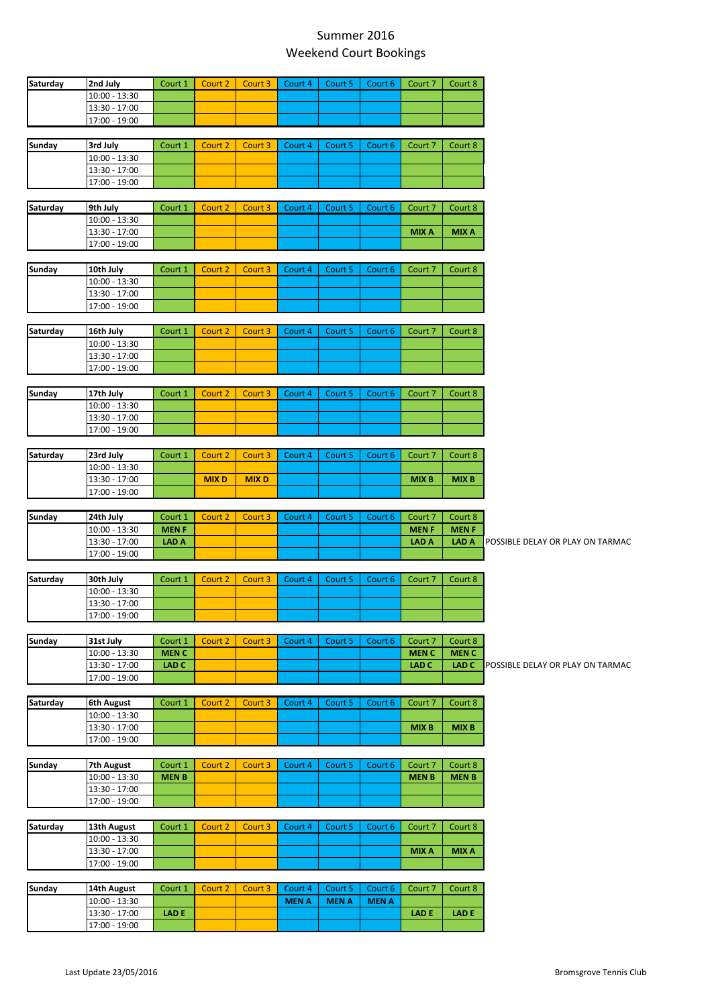## Summer 2016 Weekend Court Bookings

| Saturday                                 | 2nd July                       | Court 1          | Court 2     | Court 3     | Court 4      | Court 5     | Court 6     | Court 7          | Court 8                                          |
|------------------------------------------|--------------------------------|------------------|-------------|-------------|--------------|-------------|-------------|------------------|--------------------------------------------------|
|                                          | $10:00 - 13:30$                |                  |             |             |              |             |             |                  |                                                  |
|                                          | 13:30 - 17:00                  |                  |             |             |              |             |             |                  |                                                  |
|                                          |                                |                  |             |             |              |             |             |                  |                                                  |
|                                          | 17:00 - 19:00                  |                  |             |             |              |             |             |                  |                                                  |
| Sunday                                   | 3rd July                       | Court 1          | Court 2     | Court 3     | Court 4      | Court 5     | Court 6     | Court 7          | Court 8                                          |
|                                          | 10:00 - 13:30                  |                  |             |             |              |             |             |                  |                                                  |
|                                          | 13:30 - 17:00                  |                  |             |             |              |             |             |                  |                                                  |
|                                          | 17:00 - 19:00                  |                  |             |             |              |             |             |                  |                                                  |
|                                          |                                |                  |             |             |              |             |             |                  |                                                  |
| Saturday                                 | 9th July                       | Court 1          | Court 2     | Court 3     | Court 4      | Court 5     | Court 6     | Court 7          | Court 8                                          |
|                                          | $10:00 - 13:30$                |                  |             |             |              |             |             |                  |                                                  |
|                                          | 13:30 - 17:00                  |                  |             |             |              |             |             | <b>MIXA</b>      | <b>MIXA</b>                                      |
|                                          | 17:00 - 19:00                  |                  |             |             |              |             |             |                  |                                                  |
|                                          |                                |                  |             |             |              |             |             |                  |                                                  |
| Sunday                                   | 10th July                      | Court 1          | Court 2     | Court 3     | Court 4      | Court 5     | Court 6     | Court 7          | Court 8                                          |
|                                          | $10:00 - 13:30$                |                  |             |             |              |             |             |                  |                                                  |
|                                          | 13:30 - 17:00                  |                  |             |             |              |             |             |                  |                                                  |
|                                          | 17:00 - 19:00                  |                  |             |             |              |             |             |                  |                                                  |
|                                          |                                |                  |             |             |              |             |             |                  |                                                  |
| Saturday                                 | 16th July                      | Court 1          | Court 2     | Court 3     | Court 4      | Court 5     | Court 6     | Court 7          | Court 8                                          |
|                                          | $10:00 - 13:30$                |                  |             |             |              |             |             |                  |                                                  |
|                                          | 13:30 - 17:00                  |                  |             |             |              |             |             |                  |                                                  |
|                                          | 17:00 - 19:00                  |                  |             |             |              |             |             |                  |                                                  |
|                                          |                                |                  |             |             |              |             |             |                  |                                                  |
| Sunday                                   | 17th July                      | Court 1          | Court 2     | Court 3     | Court 4      | Court 5     | Court 6     | Court 7          | Court 8                                          |
|                                          | $10:00 - 13:30$                |                  |             |             |              |             |             |                  |                                                  |
|                                          | 13:30 - 17:00                  |                  |             |             |              |             |             |                  |                                                  |
|                                          |                                |                  |             |             |              |             |             |                  |                                                  |
|                                          | 17:00 - 19:00                  |                  |             |             |              |             |             |                  |                                                  |
| Saturday                                 | 23rd July                      | Court 1          | Court 2     | Court 3     | Court 4      | Court 5     | Court 6     | Court 7          | Court 8                                          |
|                                          | 10:00 - 13:30                  |                  |             |             |              |             |             |                  |                                                  |
|                                          | 13:30 - 17:00                  |                  | <b>MIXD</b> | <b>MIXD</b> |              |             |             | <b>MIXB</b>      | <b>MIXB</b>                                      |
|                                          | 17:00 - 19:00                  |                  |             |             |              |             |             |                  |                                                  |
|                                          |                                |                  |             |             |              |             |             |                  |                                                  |
| Sunday                                   | 24th July                      | Court 1          | Court 2     | Court 3     | Court 4      | Court 5     | Court 6     | Court 7          | Court 8                                          |
|                                          | $10:00 - 13:30$                | <b>MENF</b>      |             |             |              |             |             | <b>MENF</b>      | <b>MENF</b>                                      |
|                                          | 13:30 - 17:00                  | <b>LAD A</b>     |             |             |              |             |             |                  |                                                  |
|                                          |                                |                  |             |             |              |             |             |                  |                                                  |
|                                          |                                |                  |             |             |              |             |             | <b>LAD A</b>     | <b>LAD A</b>                                     |
|                                          | 17:00 - 19:00                  |                  |             |             |              |             |             |                  |                                                  |
|                                          |                                |                  |             |             |              |             |             |                  |                                                  |
|                                          | 30th July                      | Court 1          | Court 2     | Court 3     | Court 4      | Court 5     | Court 6     | Court 7          | Court 8                                          |
|                                          | 10:00 - 13:30                  |                  |             |             |              |             |             |                  |                                                  |
|                                          | 13:30 - 17:00                  |                  |             |             |              |             |             |                  |                                                  |
|                                          | 17:00 - 19:00                  |                  |             |             |              |             |             |                  |                                                  |
|                                          |                                |                  |             |             |              |             |             |                  |                                                  |
|                                          | 31st July                      | Court 1          | Court 2     | Court 3     | Court 4      | Court 5     | Court 6     | Court 7          | Court 8                                          |
|                                          | 10:00 - 13:30                  | <b>MENC</b>      |             |             |              |             |             | <b>MENC</b>      | <b>MENC</b>                                      |
|                                          | 13:30 - 17:00                  | LAD <sub>C</sub> |             |             |              |             |             | LAD <sub>C</sub> | LAD C<br><b>POSSIBLE DELAY OR PLAY ON TARMAC</b> |
|                                          | 17:00 - 19:00                  |                  |             |             |              |             |             |                  |                                                  |
|                                          |                                |                  |             |             |              |             |             |                  |                                                  |
|                                          | 6th August                     | Court 1          | Court 2     | Court 3     | Court 4      | Court 5     | Court 6     | Court 7          | Court 8                                          |
|                                          | $10:00 - 13:30$                |                  |             |             |              |             |             |                  |                                                  |
|                                          | 13:30 - 17:00                  |                  |             |             |              |             |             | <b>MIXB</b>      | <b>MIXB</b>                                      |
|                                          | 17:00 - 19:00                  |                  |             |             |              |             |             |                  |                                                  |
|                                          |                                |                  |             |             |              |             |             |                  |                                                  |
|                                          | <b>7th August</b>              | Court 1          | Court 2     | Court 3     | Court 4      | Court 5     | Court 6     | Court 7          | Court 8                                          |
|                                          | $10:00 - 13:30$                | <b>MENB</b>      |             |             |              |             |             | <b>MENB</b>      | <b>MENB</b>                                      |
|                                          | 13:30 - 17:00                  |                  |             |             |              |             |             |                  |                                                  |
|                                          | 17:00 - 19:00                  |                  |             |             |              |             |             |                  |                                                  |
|                                          |                                |                  |             |             |              |             |             |                  |                                                  |
|                                          | 13th August                    | Court 1          | Court 2     | Court 3     | Court 4      | Court 5     | Court 6     | Court 7          | Court 8                                          |
|                                          | $10:00 - 13:30$                |                  |             |             |              |             |             |                  |                                                  |
|                                          | 13:30 - 17:00                  |                  |             |             |              |             |             | <b>MIXA</b>      | <b>MIXA</b>                                      |
|                                          | 17:00 - 19:00                  |                  |             |             |              |             |             |                  |                                                  |
|                                          |                                |                  |             |             |              |             |             |                  |                                                  |
|                                          | 14th August                    | Court 1          | Court 2     | Court 3     | Court 4      | Court 5     | Court 6     | Court 7          | Court 8                                          |
| Saturday<br>Saturday<br>Sunday<br>Sunday | $10:00 - 13:30$                |                  |             |             | <b>MEN A</b> | <b>MENA</b> | <b>MENA</b> |                  |                                                  |
| Sunday<br>Saturday                       | 13:30 - 17:00<br>17:00 - 19:00 | <b>LAD E</b>     |             |             |              |             |             | <b>LAD E</b>     | <b>LAD E</b>                                     |